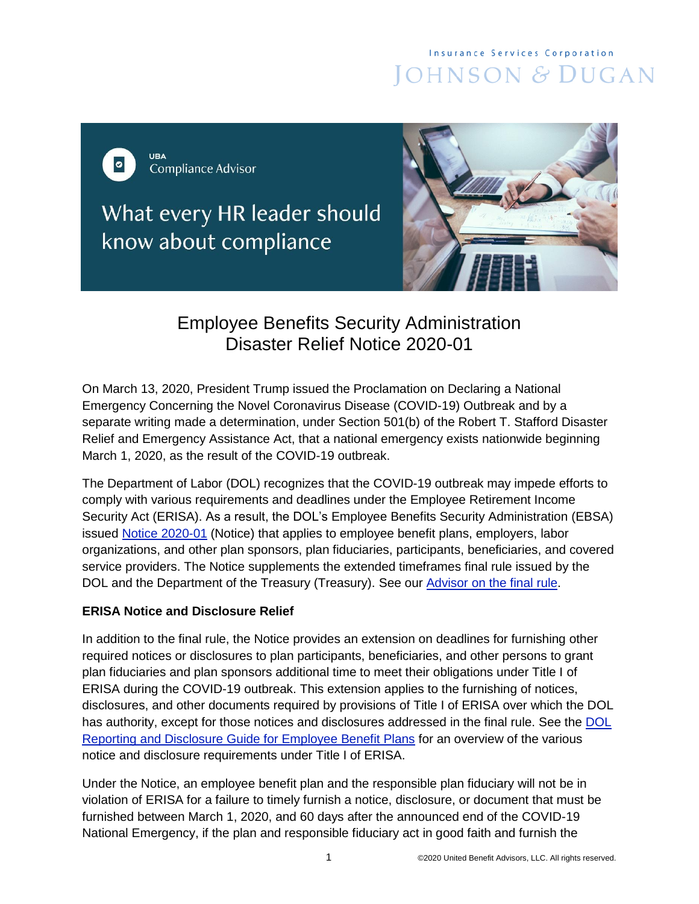# **Insurance Services Corporation** JOHNSON & DUGAN

URA  $\bullet$ **Compliance Advisor** 

What every HR leader should know about compliance



## Employee Benefits Security Administration Disaster Relief Notice 2020-01

On March 13, 2020, President Trump issued the Proclamation on Declaring a National Emergency Concerning the Novel Coronavirus Disease (COVID-19) Outbreak and by a separate writing made a determination, under Section 501(b) of the Robert T. Stafford Disaster Relief and Emergency Assistance Act, that a national emergency exists nationwide beginning March 1, 2020, as the result of the COVID-19 outbreak.

The Department of Labor (DOL) recognizes that the COVID-19 outbreak may impede efforts to comply with various requirements and deadlines under the Employee Retirement Income Security Act (ERISA). As a result, the DOL's Employee Benefits Security Administration (EBSA) issued [Notice 2020-01](https://www.dol.gov/agencies/ebsa/employers-and-advisers/plan-administration-and-compliance/disaster-relief/ebsa-disaster-relief-notice-2020-01) (Notice) that applies to employee benefit plans, employers, labor organizations, and other plan sponsors, plan fiduciaries, participants, beneficiaries, and covered service providers. The Notice supplements the extended timeframes final rule issued by the DOL and the Department of the Treasury (Treasury). See our [Advisor on the final rule.](https://cdn2.hubspot.net/hubfs/182985/Compliance/ComplianceAdvisor_ExtensionTimeframesFinalRule_043020.pdf)

### **ERISA Notice and Disclosure Relief**

In addition to the final rule, the Notice provides an extension on deadlines for furnishing other required notices or disclosures to plan participants, beneficiaries, and other persons to grant plan fiduciaries and plan sponsors additional time to meet their obligations under Title I of ERISA during the COVID-19 outbreak. This extension applies to the furnishing of notices, disclosures, and other documents required by provisions of Title I of ERISA over which the DOL has authority, except for those notices and disclosures addressed in the final rule. See the [DOL](https://www.dol.gov/sites/dolgov/files/EBSA/about-ebsa/our-activities/resource-center/publications/reporting-and-disclosure-guide-for-employee-benefit-plans.pdf)  [Reporting and Disclosure Guide for Employee Benefit Plans](https://www.dol.gov/sites/dolgov/files/EBSA/about-ebsa/our-activities/resource-center/publications/reporting-and-disclosure-guide-for-employee-benefit-plans.pdf) for an overview of the various notice and disclosure requirements under Title I of ERISA.

Under the Notice, an employee benefit plan and the responsible plan fiduciary will not be in violation of ERISA for a failure to timely furnish a notice, disclosure, or document that must be furnished between March 1, 2020, and 60 days after the announced end of the COVID-19 National Emergency, if the plan and responsible fiduciary act in good faith and furnish the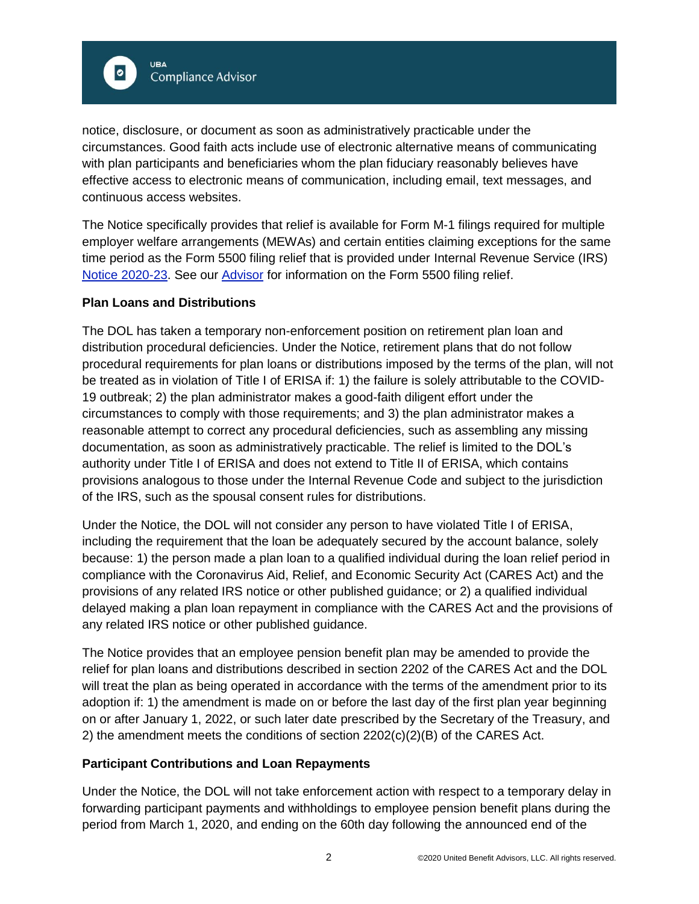

notice, disclosure, or document as soon as administratively practicable under the circumstances. Good faith acts include use of electronic alternative means of communicating with plan participants and beneficiaries whom the plan fiduciary reasonably believes have effective access to electronic means of communication, including email, text messages, and continuous access websites.

The Notice specifically provides that relief is available for Form M-1 filings required for multiple employer welfare arrangements (MEWAs) and certain entities claiming exceptions for the same time period as the Form 5500 filing relief that is provided under Internal Revenue Service (IRS) [Notice 2020-23.](https://www.irs.gov/pub/irs-drop/n-20-23.pdf) See our [Advisor](https://cdn2.hubspot.net/hubfs/182985/Compliance/ComplianceAdvisor_TaxFiling_DeadlineExtension_042720.pdf) for information on the Form 5500 filing relief.

#### **Plan Loans and Distributions**

The DOL has taken a temporary non-enforcement position on retirement plan loan and distribution procedural deficiencies. Under the Notice, retirement plans that do not follow procedural requirements for plan loans or distributions imposed by the terms of the plan, will not be treated as in violation of Title I of ERISA if: 1) the failure is solely attributable to the COVID-19 outbreak; 2) the plan administrator makes a good-faith diligent effort under the circumstances to comply with those requirements; and 3) the plan administrator makes a reasonable attempt to correct any procedural deficiencies, such as assembling any missing documentation, as soon as administratively practicable. The relief is limited to the DOL's authority under Title I of ERISA and does not extend to Title II of ERISA, which contains provisions analogous to those under the Internal Revenue Code and subject to the jurisdiction of the IRS, such as the spousal consent rules for distributions.

Under the Notice, the DOL will not consider any person to have violated Title I of ERISA, including the requirement that the loan be adequately secured by the account balance, solely because: 1) the person made a plan loan to a qualified individual during the loan relief period in compliance with the Coronavirus Aid, Relief, and Economic Security Act (CARES Act) and the provisions of any related IRS notice or other published guidance; or 2) a qualified individual delayed making a plan loan repayment in compliance with the CARES Act and the provisions of any related IRS notice or other published guidance.

The Notice provides that an employee pension benefit plan may be amended to provide the relief for plan loans and distributions described in section 2202 of the CARES Act and the DOL will treat the plan as being operated in accordance with the terms of the amendment prior to its adoption if: 1) the amendment is made on or before the last day of the first plan year beginning on or after January 1, 2022, or such later date prescribed by the Secretary of the Treasury, and 2) the amendment meets the conditions of section  $2202(c)(2)(B)$  of the CARES Act.

#### **Participant Contributions and Loan Repayments**

Under the Notice, the DOL will not take enforcement action with respect to a temporary delay in forwarding participant payments and withholdings to employee pension benefit plans during the period from March 1, 2020, and ending on the 60th day following the announced end of the